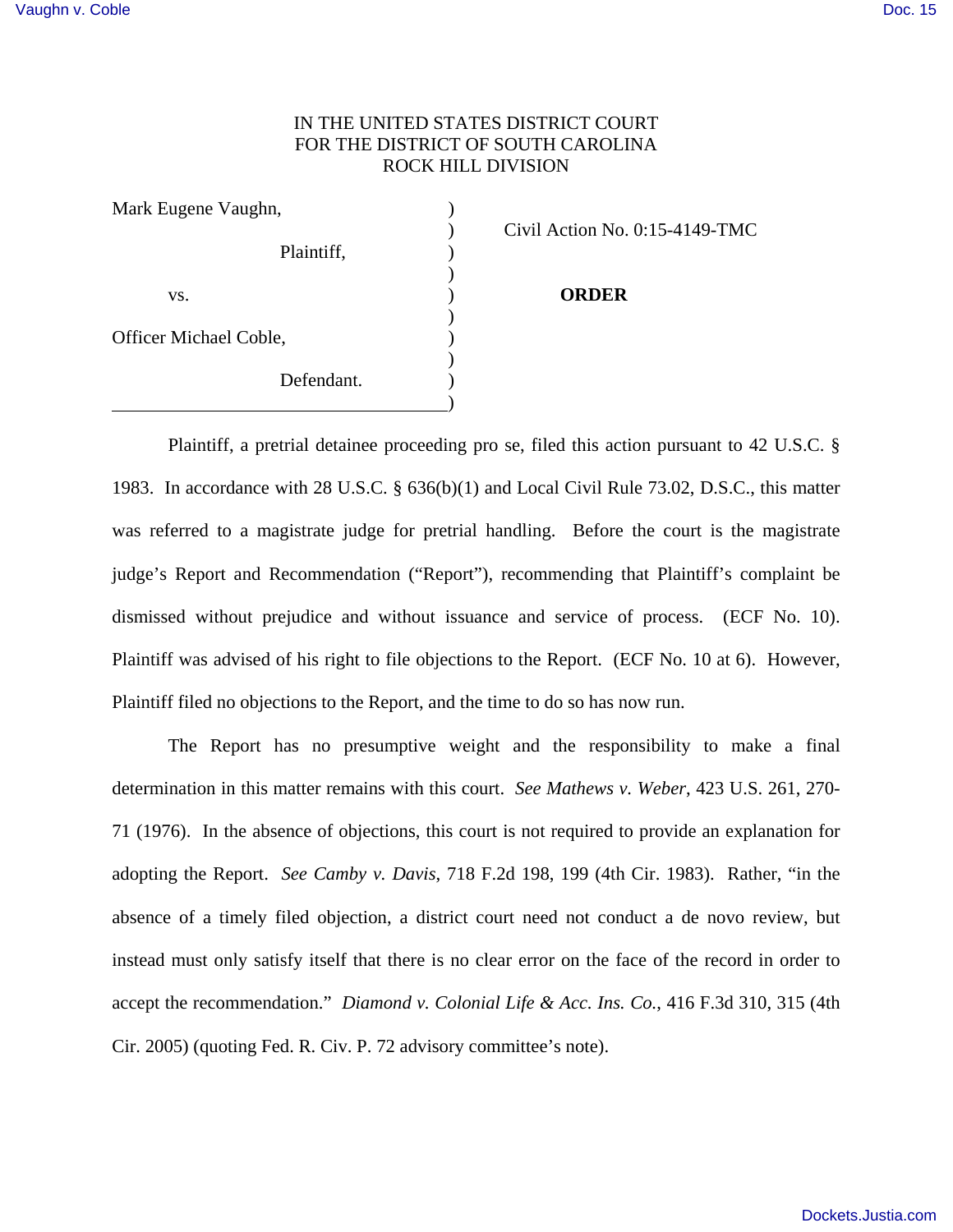## IN THE UNITED STATES DISTRICT COURT FOR THE DISTRICT OF SOUTH CAROLINA ROCK HILL DIVISION

| Mark Eugene Vaughn,                  |  |
|--------------------------------------|--|
|                                      |  |
| Plaintiff,                           |  |
|                                      |  |
| VS.                                  |  |
|                                      |  |
|                                      |  |
|                                      |  |
|                                      |  |
| Officer Michael Coble,<br>Defendant. |  |

) Civil Action No. 0:15-4149-TMC

## **ORDER**

Plaintiff, a pretrial detainee proceeding pro se, filed this action pursuant to 42 U.S.C. § 1983. In accordance with 28 U.S.C. § 636(b)(1) and Local Civil Rule 73.02, D.S.C., this matter was referred to a magistrate judge for pretrial handling. Before the court is the magistrate judge's Report and Recommendation ("Report"), recommending that Plaintiff's complaint be dismissed without prejudice and without issuance and service of process. (ECF No. 10). Plaintiff was advised of his right to file objections to the Report. (ECF No. 10 at 6). However, Plaintiff filed no objections to the Report, and the time to do so has now run.

 The Report has no presumptive weight and the responsibility to make a final determination in this matter remains with this court. *See Mathews v. Weber*, 423 U.S. 261, 270- 71 (1976). In the absence of objections, this court is not required to provide an explanation for adopting the Report. *See Camby v. Davis*, 718 F.2d 198, 199 (4th Cir. 1983). Rather, "in the absence of a timely filed objection, a district court need not conduct a de novo review, but instead must only satisfy itself that there is no clear error on the face of the record in order to accept the recommendation." *Diamond v. Colonial Life & Acc. Ins. Co.*, 416 F.3d 310, 315 (4th Cir. 2005) (quoting Fed. R. Civ. P. 72 advisory committee's note).